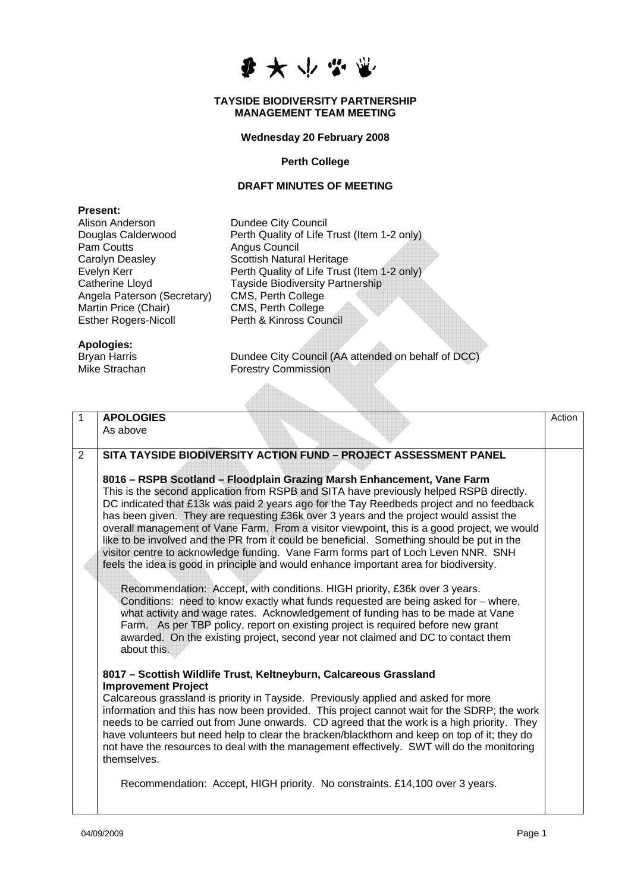

### **TAYSIDE BIODIVERSITY PARTNERSHIP MANAGEMENT TEAM MEETING**

# **Wednesday 20 February 2008**

# **Perth College**

## **DRAFT MINUTES OF MEETING**

| <b>Present:</b>             |                                             |
|-----------------------------|---------------------------------------------|
| Alison Anderson             | Dundee City Council                         |
| Douglas Calderwood          | Perth Quality of Life Trust (Item 1-2 only) |
| Pam Coutts                  | Angus Council                               |
| Carolyn Deasley             | <b>Scottish Natural Heritage</b>            |
| Evelyn Kerr                 | Perth Quality of Life Trust (Item 1-2 only) |
| Catherine Lloyd             | <b>Tayside Biodiversity Partnership</b>     |
| Angela Paterson (Secretary) | CMS, Perth College                          |
| Martin Price (Chair)        | CMS, Perth College                          |
| <b>Esther Rogers-Nicoll</b> | Perth & Kinross Council                     |
|                             |                                             |
| Apologies:                  |                                             |

Alba

**Apologies:** 

Bryan Harris **Dundee City Council (AA attended on behalf of DCC**) Mike Strachan **Forestry Commission** 

| 1 | <b>APOLOGIES</b>                                                                                                                                                                                                                                                                                                                                                                                                                                                                                                                                                                                                                           | Action |
|---|--------------------------------------------------------------------------------------------------------------------------------------------------------------------------------------------------------------------------------------------------------------------------------------------------------------------------------------------------------------------------------------------------------------------------------------------------------------------------------------------------------------------------------------------------------------------------------------------------------------------------------------------|--------|
|   | As above                                                                                                                                                                                                                                                                                                                                                                                                                                                                                                                                                                                                                                   |        |
|   |                                                                                                                                                                                                                                                                                                                                                                                                                                                                                                                                                                                                                                            |        |
| 2 | SITA TAYSIDE BIODIVERSITY ACTION FUND - PROJECT ASSESSMENT PANEL                                                                                                                                                                                                                                                                                                                                                                                                                                                                                                                                                                           |        |
|   |                                                                                                                                                                                                                                                                                                                                                                                                                                                                                                                                                                                                                                            |        |
|   | 8016 – RSPB Scotland – Floodplain Grazing Marsh Enhancement, Vane Farm<br>This is the second application from RSPB and SITA have previously helped RSPB directly.<br>DC indicated that £13k was paid 2 years ago for the Tay Reedbeds project and no feedback<br>has been given. They are requesting £36k over 3 years and the project would assist the<br>overall management of Vane Farm. From a visitor viewpoint, this is a good project, we would<br>like to be involved and the PR from it could be beneficial. Something should be put in the<br>visitor centre to acknowledge funding. Vane Farm forms part of Loch Leven NNR. SNH |        |
|   | feels the idea is good in principle and would enhance important area for biodiversity.                                                                                                                                                                                                                                                                                                                                                                                                                                                                                                                                                     |        |
|   |                                                                                                                                                                                                                                                                                                                                                                                                                                                                                                                                                                                                                                            |        |
|   | Recommendation: Accept, with conditions. HIGH priority, £36k over 3 years.<br>Conditions: need to know exactly what funds requested are being asked for – where,<br>what activity and wage rates. Acknowledgement of funding has to be made at Vane<br>Farm. As per TBP policy, report on existing project is required before new grant<br>awarded. On the existing project, second year not claimed and DC to contact them<br>about this.                                                                                                                                                                                                 |        |
|   | 8017 - Scottish Wildlife Trust, Keltneyburn, Calcareous Grassland                                                                                                                                                                                                                                                                                                                                                                                                                                                                                                                                                                          |        |
|   | <b>Improvement Project</b>                                                                                                                                                                                                                                                                                                                                                                                                                                                                                                                                                                                                                 |        |
|   | Calcareous grassland is priority in Tayside. Previously applied and asked for more<br>information and this has now been provided. This project cannot wait for the SDRP; the work<br>needs to be carried out from June onwards. CD agreed that the work is a high priority. They<br>have volunteers but need help to clear the bracken/blackthorn and keep on top of it; they do<br>not have the resources to deal with the management effectively. SWT will do the monitoring<br>themselves.                                                                                                                                              |        |
|   | Recommendation: Accept, HIGH priority. No constraints. £14,100 over 3 years.                                                                                                                                                                                                                                                                                                                                                                                                                                                                                                                                                               |        |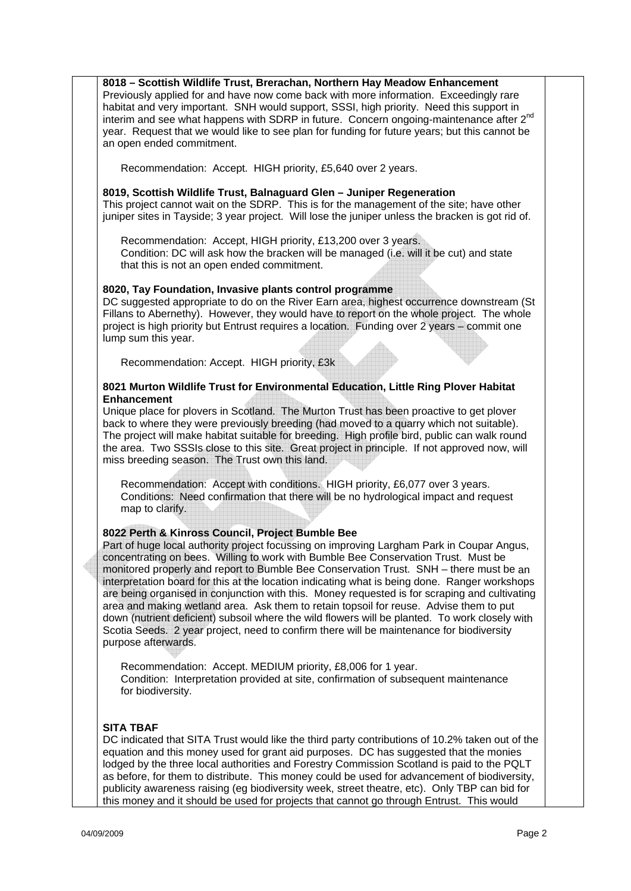**018 – Scottish Wildlife Trust, Brerachan, Northern Hay Meadow Enhancement 8** Previously applied for and have now come back with more information. Exceedingly rare interim and see what happens with SDRP in future. Concern ongoing-maintenance after 2<sup>nd</sup> habitat and very important. SNH would support, SSSI, high priority. Need this support in year. Request that we would like to see plan for funding for future years; but this cannot be an open ended commitment.

Recommendation: Accept. HIGH priority, £5,640 over 2 years.

#### **019, Scottish Wildlife Trust, Balnaguard Glen – Juniper Regeneration 8**

This project cannot wait on the SDRP. This is for the management of the site; have other juniper sites in Tayside; 3 year project. Will lose the juniper unless the bracken is got rid of.

Recommendation: Accept, HIGH priority, £13,200 over 3 years.

Condition: DC will ask how the bracken will be managed (i.e. will it be cut) and state that this is not an open ended commitment.

#### **020, Tay Foundation, Invasive plants control programme 8**

DC suggested appropriate to do on the River Earn area, highest occurrence downstream (St Fillans to Abernethy). However, they would have to report on the whole project. The whole project is high priority but Entrust requires a location. Funding over 2 years – commit one lump sum this year.

Recommendation: Accept. HIGH priority, £3k

### **021 Murton Wildlife Trust for Environmental Education, Little Ring Plover Habitat 8 Enhancement**

Unique place for plovers in Scotland. The Murton Trust has been proactive to get plover back to where they were previously breeding (had moved to a quarry which not suitable). The project will make habitat suitable for breeding. High profile bird, public can walk round the area. Two SSSIs close to this site. Great project in principle. If not approved now, will miss breeding season. The Trust own this land.

Recommendation: Accept with conditions. HIGH priority, £6,077 over 3 years. Conditions: Need confirmation that there will be no hydrological impact and request map to clarify.

#### **022 Perth & Kinross Council, Project Bumble Bee 8**

Part of huge local authority project focussing on improving Largham Park in Coupar Angus, monitored properly and report to Bumble Bee Conservation Trust. SNH - there must be an down (nutrient deficient) subsoil where the wild flowers will be planted. To work closely with concentrating on bees. Willing to work with Bumble Bee Conservation Trust. Must be interpretation board for this at the location indicating what is being done. Ranger workshops are being organised in conjunction with this. Money requested is for scraping and cultivating area and making wetland area. Ask them to retain topsoil for reuse. Advise them to put Scotia Seeds. 2 year project, need to confirm there will be maintenance for biodiversity purpose afterwards.

Recommendation: Accept. MEDIUM priority, £8,006 for 1 year. Condition: Interpretation provided at site, confirmation of subsequent maintenance for biodiversity.

## **ITA TBAF S**

DC indicated that SITA Trust would like the third party contributions of 10.2% taken out of the equation and this money used for grant aid purposes. DC has suggested that the monies lodged by the three local authorities and Forestry Commission Scotland is paid to the PQLT as before, for them to distribute. This money could be used for advancement of biodiversity, publicity awareness raising (eg biodiversity week, street theatre, etc). Only TBP can bid for this money and it should be used for projects that cannot go through Entrust. This would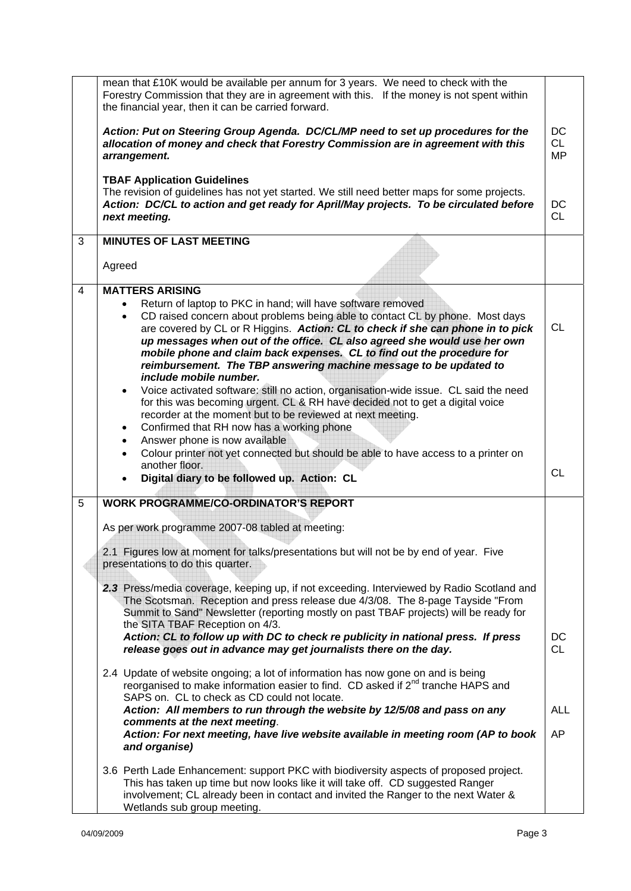|                | mean that £10K would be available per annum for 3 years. We need to check with the<br>Forestry Commission that they are in agreement with this. If the money is not spent within<br>the financial year, then it can be carried forward.                                                                                                                                                                                                                                                                                                                                                                                                                                                                                                                                         |                         |
|----------------|---------------------------------------------------------------------------------------------------------------------------------------------------------------------------------------------------------------------------------------------------------------------------------------------------------------------------------------------------------------------------------------------------------------------------------------------------------------------------------------------------------------------------------------------------------------------------------------------------------------------------------------------------------------------------------------------------------------------------------------------------------------------------------|-------------------------|
|                | Action: Put on Steering Group Agenda. DC/CL/MP need to set up procedures for the<br>allocation of money and check that Forestry Commission are in agreement with this<br>arrangement.                                                                                                                                                                                                                                                                                                                                                                                                                                                                                                                                                                                           | DC<br>CL<br><b>MP</b>   |
|                | <b>TBAF Application Guidelines</b><br>The revision of guidelines has not yet started. We still need better maps for some projects.<br>Action: DC/CL to action and get ready for April/May projects. To be circulated before<br>next meeting.                                                                                                                                                                                                                                                                                                                                                                                                                                                                                                                                    | DC<br><b>CL</b>         |
| 3              | <b>MINUTES OF LAST MEETING</b>                                                                                                                                                                                                                                                                                                                                                                                                                                                                                                                                                                                                                                                                                                                                                  |                         |
|                | Agreed                                                                                                                                                                                                                                                                                                                                                                                                                                                                                                                                                                                                                                                                                                                                                                          |                         |
| $\overline{4}$ | <b>MATTERS ARISING</b><br>Return of laptop to PKC in hand; will have software removed<br>CD raised concern about problems being able to contact CL by phone. Most days<br>$\bullet$<br>are covered by CL or R Higgins. Action: CL to check if she can phone in to pick<br>up messages when out of the office. CL also agreed she would use her own<br>mobile phone and claim back expenses. CL to find out the procedure for<br>reimbursement. The TBP answering machine message to be updated to<br>include mobile number.<br>Voice activated software: still no action, organisation-wide issue. CL said the need<br>$\bullet$<br>for this was becoming urgent. CL & RH have decided not to get a digital voice<br>recorder at the moment but to be reviewed at next meeting. | <b>CL</b>               |
|                | Confirmed that RH now has a working phone<br>$\bullet$<br>Answer phone is now available<br>$\bullet$                                                                                                                                                                                                                                                                                                                                                                                                                                                                                                                                                                                                                                                                            |                         |
|                | Colour printer not yet connected but should be able to have access to a printer on<br>$\bullet$<br>another floor.<br>Digital diary to be followed up. Action: CL<br>$\bullet$                                                                                                                                                                                                                                                                                                                                                                                                                                                                                                                                                                                                   | <b>CL</b>               |
| 5              | <b>WORK PROGRAMME/CO-ORDINATOR'S REPORT</b>                                                                                                                                                                                                                                                                                                                                                                                                                                                                                                                                                                                                                                                                                                                                     |                         |
|                | As per work programme 2007-08 tabled at meeting:                                                                                                                                                                                                                                                                                                                                                                                                                                                                                                                                                                                                                                                                                                                                |                         |
|                | 2.1 Figures low at moment for talks/presentations but will not be by end of year. Five<br>presentations to do this quarter.                                                                                                                                                                                                                                                                                                                                                                                                                                                                                                                                                                                                                                                     |                         |
|                | 2.3 Press/media coverage, keeping up, if not exceeding. Interviewed by Radio Scotland and<br>The Scotsman. Reception and press release due 4/3/08. The 8-page Tayside "From<br>Summit to Sand" Newsletter (reporting mostly on past TBAF projects) will be ready for<br>the SITA TBAF Reception on 4/3.<br>Action: CL to follow up with DC to check re publicity in national press. If press<br>release goes out in advance may get journalists there on the day.                                                                                                                                                                                                                                                                                                               | DC<br><b>CL</b>         |
|                | 2.4 Update of website ongoing; a lot of information has now gone on and is being<br>reorganised to make information easier to find. CD asked if 2 <sup>nd</sup> tranche HAPS and<br>SAPS on. CL to check as CD could not locate.                                                                                                                                                                                                                                                                                                                                                                                                                                                                                                                                                |                         |
|                | Action: All members to run through the website by 12/5/08 and pass on any<br>comments at the next meeting.<br>Action: For next meeting, have live website available in meeting room (AP to book<br>and organise)                                                                                                                                                                                                                                                                                                                                                                                                                                                                                                                                                                | <b>ALL</b><br><b>AP</b> |
|                | 3.6 Perth Lade Enhancement: support PKC with biodiversity aspects of proposed project.<br>This has taken up time but now looks like it will take off. CD suggested Ranger<br>involvement; CL already been in contact and invited the Ranger to the next Water &<br>Wetlands sub group meeting.                                                                                                                                                                                                                                                                                                                                                                                                                                                                                  |                         |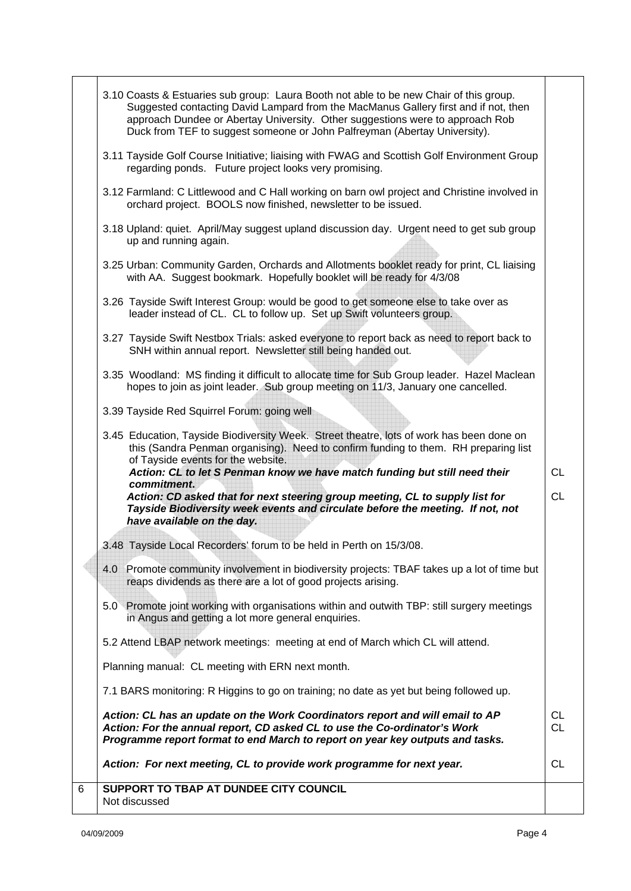|   | 3.10 Coasts & Estuaries sub group: Laura Booth not able to be new Chair of this group.<br>Suggested contacting David Lampard from the MacManus Gallery first and if not, then<br>approach Dundee or Abertay University. Other suggestions were to approach Rob<br>Duck from TEF to suggest someone or John Palfreyman (Abertay University). |                        |
|---|---------------------------------------------------------------------------------------------------------------------------------------------------------------------------------------------------------------------------------------------------------------------------------------------------------------------------------------------|------------------------|
|   | 3.11 Tayside Golf Course Initiative; liaising with FWAG and Scottish Golf Environment Group<br>regarding ponds. Future project looks very promising.                                                                                                                                                                                        |                        |
|   | 3.12 Farmland: C Littlewood and C Hall working on barn owl project and Christine involved in<br>orchard project. BOOLS now finished, newsletter to be issued.                                                                                                                                                                               |                        |
|   | 3.18 Upland: quiet. April/May suggest upland discussion day. Urgent need to get sub group<br>up and running again.                                                                                                                                                                                                                          |                        |
|   | 3.25 Urban: Community Garden, Orchards and Allotments booklet ready for print, CL liaising<br>with AA. Suggest bookmark. Hopefully booklet will be ready for 4/3/08                                                                                                                                                                         |                        |
|   | 3.26 Tayside Swift Interest Group: would be good to get someone else to take over as<br>leader instead of CL. CL to follow up. Set up Swift volunteers group.                                                                                                                                                                               |                        |
|   | 3.27 Tayside Swift Nestbox Trials: asked everyone to report back as need to report back to<br>SNH within annual report. Newsletter still being handed out.                                                                                                                                                                                  |                        |
|   | 3.35 Woodland: MS finding it difficult to allocate time for Sub Group leader. Hazel Maclean<br>hopes to join as joint leader. Sub group meeting on 11/3, January one cancelled.                                                                                                                                                             |                        |
|   | 3.39 Tayside Red Squirrel Forum: going well                                                                                                                                                                                                                                                                                                 |                        |
|   | 3.45 Education, Tayside Biodiversity Week. Street theatre, lots of work has been done on<br>this (Sandra Penman organising). Need to confirm funding to them. RH preparing list<br>of Tayside events for the website.                                                                                                                       |                        |
|   | Action: CL to let S Penman know we have match funding but still need their<br>commitment.<br>Action: CD asked that for next steering group meeting, CL to supply list for<br>Tayside Biodiversity week events and circulate before the meeting. If not, not<br>have available on the day.                                                   | <b>CL</b><br><b>CL</b> |
|   | 3.48 Tayside Local Recorders' forum to be held in Perth on 15/3/08.                                                                                                                                                                                                                                                                         |                        |
|   | 4.0 Promote community involvement in biodiversity projects: TBAF takes up a lot of time but<br>reaps dividends as there are a lot of good projects arising.                                                                                                                                                                                 |                        |
|   | 5.0 Promote joint working with organisations within and outwith TBP: still surgery meetings<br>in Angus and getting a lot more general enquiries.                                                                                                                                                                                           |                        |
|   | 5.2 Attend LBAP network meetings: meeting at end of March which CL will attend.                                                                                                                                                                                                                                                             |                        |
|   | Planning manual: CL meeting with ERN next month.                                                                                                                                                                                                                                                                                            |                        |
|   | 7.1 BARS monitoring: R Higgins to go on training; no date as yet but being followed up.                                                                                                                                                                                                                                                     |                        |
|   | Action: CL has an update on the Work Coordinators report and will email to AP<br>Action: For the annual report, CD asked CL to use the Co-ordinator's Work<br>Programme report format to end March to report on year key outputs and tasks.                                                                                                 | <b>CL</b><br><b>CL</b> |
|   | Action: For next meeting, CL to provide work programme for next year.                                                                                                                                                                                                                                                                       | <b>CL</b>              |
| 6 | SUPPORT TO TBAP AT DUNDEE CITY COUNCIL<br>Not discussed                                                                                                                                                                                                                                                                                     |                        |
|   |                                                                                                                                                                                                                                                                                                                                             |                        |